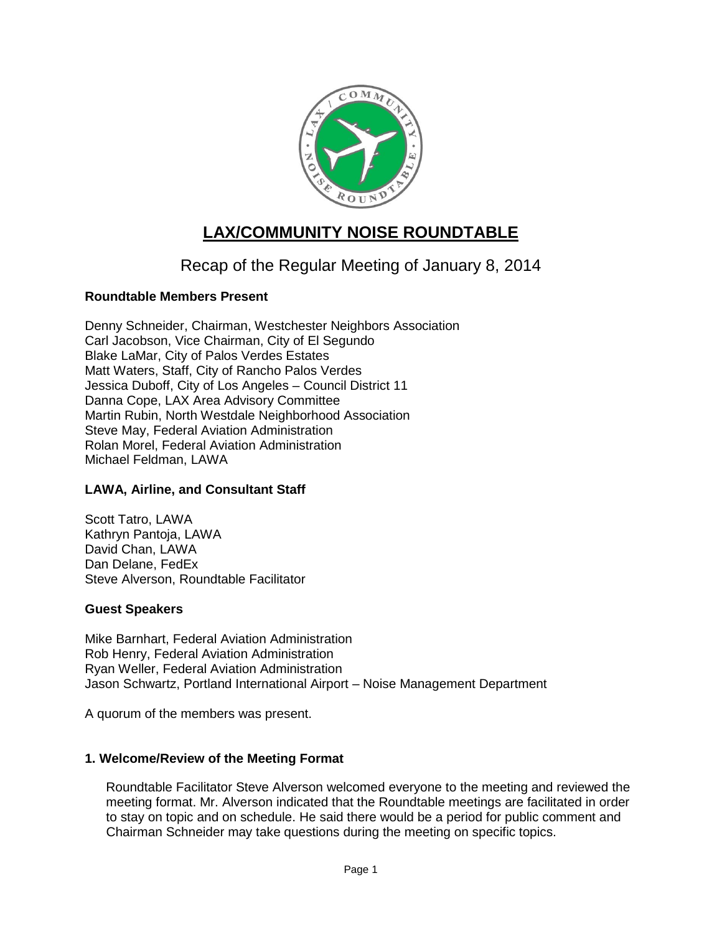

# **LAX/COMMUNITY NOISE ROUNDTABLE**

## Recap of the Regular Meeting of January 8, 2014

## **Roundtable Members Present**

Denny Schneider, Chairman, Westchester Neighbors Association Carl Jacobson, Vice Chairman, City of El Segundo Blake LaMar, City of Palos Verdes Estates Matt Waters, Staff, City of Rancho Palos Verdes Jessica Duboff, City of Los Angeles – Council District 11 Danna Cope, LAX Area Advisory Committee Martin Rubin, North Westdale Neighborhood Association Steve May, Federal Aviation Administration Rolan Morel, Federal Aviation Administration Michael Feldman, LAWA

## **LAWA, Airline, and Consultant Staff**

Scott Tatro, LAWA Kathryn Pantoja, LAWA David Chan, LAWA Dan Delane, FedEx Steve Alverson, Roundtable Facilitator

#### **Guest Speakers**

Mike Barnhart, Federal Aviation Administration Rob Henry, Federal Aviation Administration Ryan Weller, Federal Aviation Administration Jason Schwartz, Portland International Airport – Noise Management Department

A quorum of the members was present.

## **1. Welcome/Review of the Meeting Format**

Roundtable Facilitator Steve Alverson welcomed everyone to the meeting and reviewed the meeting format. Mr. Alverson indicated that the Roundtable meetings are facilitated in order to stay on topic and on schedule. He said there would be a period for public comment and Chairman Schneider may take questions during the meeting on specific topics.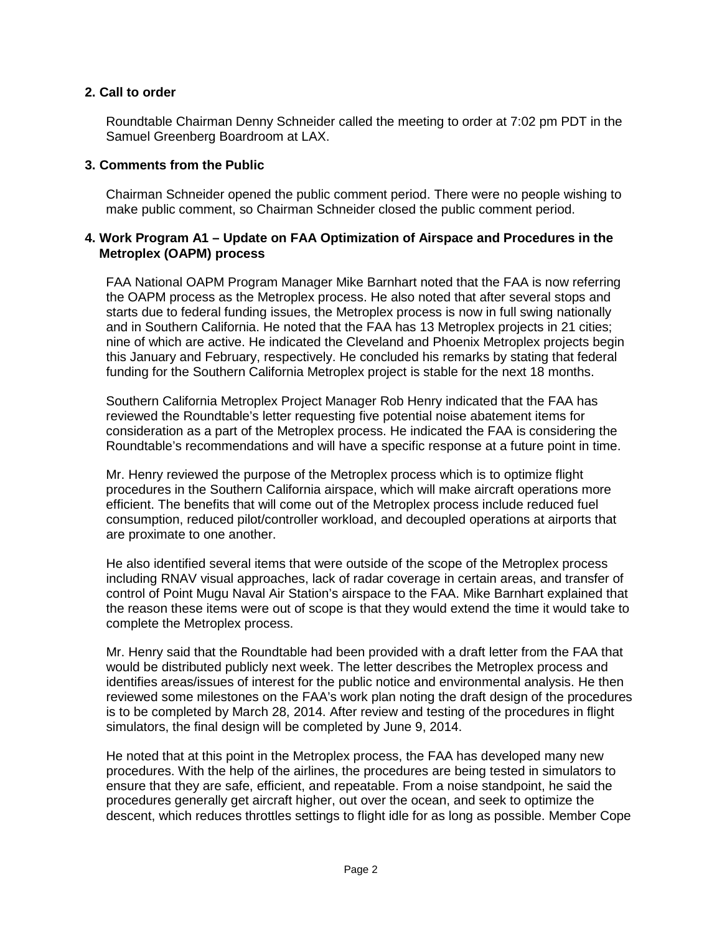#### **2. Call to order**

Roundtable Chairman Denny Schneider called the meeting to order at 7:02 pm PDT in the Samuel Greenberg Boardroom at LAX.

#### **3. Comments from the Public**

Chairman Schneider opened the public comment period. There were no people wishing to make public comment, so Chairman Schneider closed the public comment period.

#### **4. Work Program A1 – Update on FAA Optimization of Airspace and Procedures in the Metroplex (OAPM) process**

FAA National OAPM Program Manager Mike Barnhart noted that the FAA is now referring the OAPM process as the Metroplex process. He also noted that after several stops and starts due to federal funding issues, the Metroplex process is now in full swing nationally and in Southern California. He noted that the FAA has 13 Metroplex projects in 21 cities; nine of which are active. He indicated the Cleveland and Phoenix Metroplex projects begin this January and February, respectively. He concluded his remarks by stating that federal funding for the Southern California Metroplex project is stable for the next 18 months.

Southern California Metroplex Project Manager Rob Henry indicated that the FAA has reviewed the Roundtable's letter requesting five potential noise abatement items for consideration as a part of the Metroplex process. He indicated the FAA is considering the Roundtable's recommendations and will have a specific response at a future point in time.

Mr. Henry reviewed the purpose of the Metroplex process which is to optimize flight procedures in the Southern California airspace, which will make aircraft operations more efficient. The benefits that will come out of the Metroplex process include reduced fuel consumption, reduced pilot/controller workload, and decoupled operations at airports that are proximate to one another.

He also identified several items that were outside of the scope of the Metroplex process including RNAV visual approaches, lack of radar coverage in certain areas, and transfer of control of Point Mugu Naval Air Station's airspace to the FAA. Mike Barnhart explained that the reason these items were out of scope is that they would extend the time it would take to complete the Metroplex process.

Mr. Henry said that the Roundtable had been provided with a draft letter from the FAA that would be distributed publicly next week. The letter describes the Metroplex process and identifies areas/issues of interest for the public notice and environmental analysis. He then reviewed some milestones on the FAA's work plan noting the draft design of the procedures is to be completed by March 28, 2014. After review and testing of the procedures in flight simulators, the final design will be completed by June 9, 2014.

He noted that at this point in the Metroplex process, the FAA has developed many new procedures. With the help of the airlines, the procedures are being tested in simulators to ensure that they are safe, efficient, and repeatable. From a noise standpoint, he said the procedures generally get aircraft higher, out over the ocean, and seek to optimize the descent, which reduces throttles settings to flight idle for as long as possible. Member Cope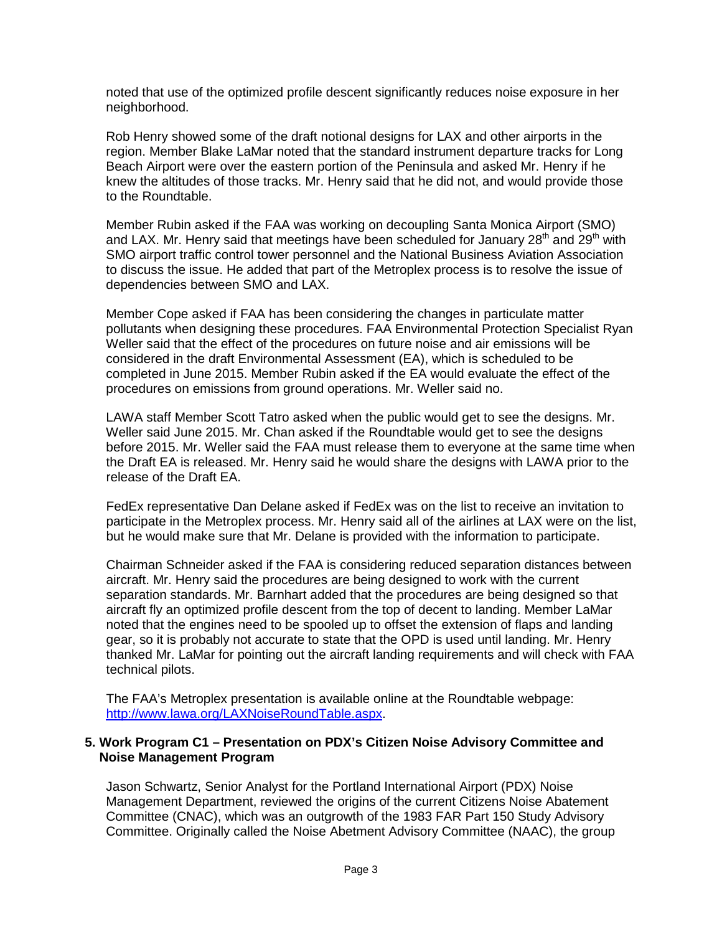noted that use of the optimized profile descent significantly reduces noise exposure in her neighborhood.

Rob Henry showed some of the draft notional designs for LAX and other airports in the region. Member Blake LaMar noted that the standard instrument departure tracks for Long Beach Airport were over the eastern portion of the Peninsula and asked Mr. Henry if he knew the altitudes of those tracks. Mr. Henry said that he did not, and would provide those to the Roundtable.

Member Rubin asked if the FAA was working on decoupling Santa Monica Airport (SMO) and LAX. Mr. Henry said that meetings have been scheduled for January 28<sup>th</sup> and 29<sup>th</sup> with SMO airport traffic control tower personnel and the National Business Aviation Association to discuss the issue. He added that part of the Metroplex process is to resolve the issue of dependencies between SMO and LAX.

Member Cope asked if FAA has been considering the changes in particulate matter pollutants when designing these procedures. FAA Environmental Protection Specialist Ryan Weller said that the effect of the procedures on future noise and air emissions will be considered in the draft Environmental Assessment (EA), which is scheduled to be completed in June 2015. Member Rubin asked if the EA would evaluate the effect of the procedures on emissions from ground operations. Mr. Weller said no.

LAWA staff Member Scott Tatro asked when the public would get to see the designs. Mr. Weller said June 2015. Mr. Chan asked if the Roundtable would get to see the designs before 2015. Mr. Weller said the FAA must release them to everyone at the same time when the Draft EA is released. Mr. Henry said he would share the designs with LAWA prior to the release of the Draft EA.

FedEx representative Dan Delane asked if FedEx was on the list to receive an invitation to participate in the Metroplex process. Mr. Henry said all of the airlines at LAX were on the list, but he would make sure that Mr. Delane is provided with the information to participate.

Chairman Schneider asked if the FAA is considering reduced separation distances between aircraft. Mr. Henry said the procedures are being designed to work with the current separation standards. Mr. Barnhart added that the procedures are being designed so that aircraft fly an optimized profile descent from the top of decent to landing. Member LaMar noted that the engines need to be spooled up to offset the extension of flaps and landing gear, so it is probably not accurate to state that the OPD is used until landing. Mr. Henry thanked Mr. LaMar for pointing out the aircraft landing requirements and will check with FAA technical pilots.

The FAA's Metroplex presentation is available online at the Roundtable webpage: [http://www.lawa.org/LAXNoiseRoundTable.aspx.](http://www.lawa.org/LAXNoiseRoundTable.aspx)

#### **5. Work Program C1 – Presentation on PDX's Citizen Noise Advisory Committee and Noise Management Program**

Jason Schwartz, Senior Analyst for the Portland International Airport (PDX) Noise Management Department, reviewed the origins of the current Citizens Noise Abatement Committee (CNAC), which was an outgrowth of the 1983 FAR Part 150 Study Advisory Committee. Originally called the Noise Abetment Advisory Committee (NAAC), the group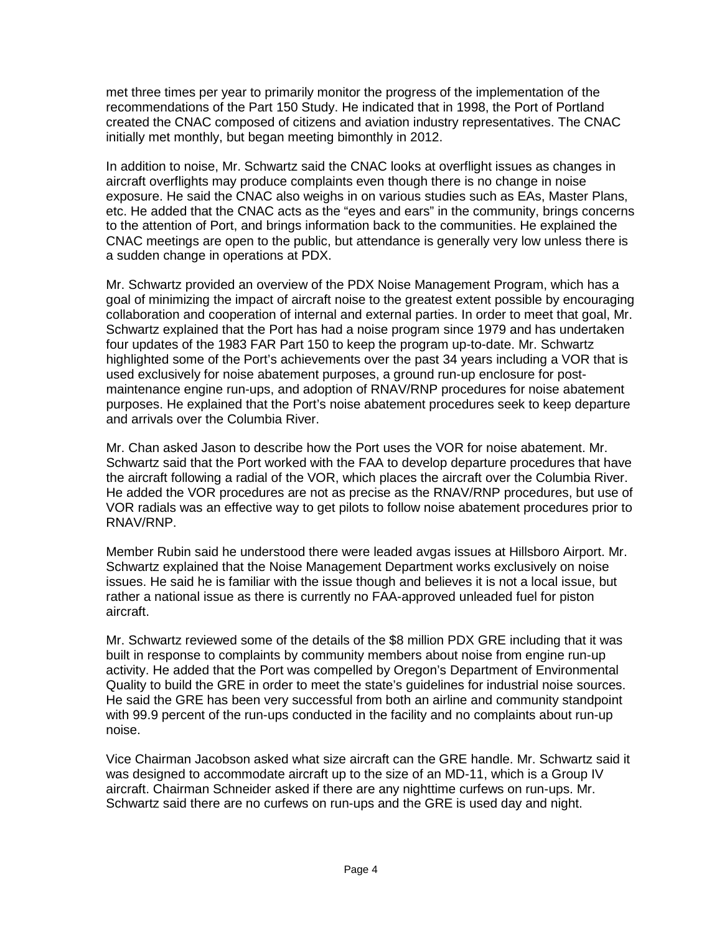met three times per year to primarily monitor the progress of the implementation of the recommendations of the Part 150 Study. He indicated that in 1998, the Port of Portland created the CNAC composed of citizens and aviation industry representatives. The CNAC initially met monthly, but began meeting bimonthly in 2012.

In addition to noise, Mr. Schwartz said the CNAC looks at overflight issues as changes in aircraft overflights may produce complaints even though there is no change in noise exposure. He said the CNAC also weighs in on various studies such as EAs, Master Plans, etc. He added that the CNAC acts as the "eyes and ears" in the community, brings concerns to the attention of Port, and brings information back to the communities. He explained the CNAC meetings are open to the public, but attendance is generally very low unless there is a sudden change in operations at PDX.

Mr. Schwartz provided an overview of the PDX Noise Management Program, which has a goal of minimizing the impact of aircraft noise to the greatest extent possible by encouraging collaboration and cooperation of internal and external parties. In order to meet that goal, Mr. Schwartz explained that the Port has had a noise program since 1979 and has undertaken four updates of the 1983 FAR Part 150 to keep the program up-to-date. Mr. Schwartz highlighted some of the Port's achievements over the past 34 years including a VOR that is used exclusively for noise abatement purposes, a ground run-up enclosure for postmaintenance engine run-ups, and adoption of RNAV/RNP procedures for noise abatement purposes. He explained that the Port's noise abatement procedures seek to keep departure and arrivals over the Columbia River.

Mr. Chan asked Jason to describe how the Port uses the VOR for noise abatement. Mr. Schwartz said that the Port worked with the FAA to develop departure procedures that have the aircraft following a radial of the VOR, which places the aircraft over the Columbia River. He added the VOR procedures are not as precise as the RNAV/RNP procedures, but use of VOR radials was an effective way to get pilots to follow noise abatement procedures prior to RNAV/RNP.

Member Rubin said he understood there were leaded avgas issues at Hillsboro Airport. Mr. Schwartz explained that the Noise Management Department works exclusively on noise issues. He said he is familiar with the issue though and believes it is not a local issue, but rather a national issue as there is currently no FAA-approved unleaded fuel for piston aircraft.

Mr. Schwartz reviewed some of the details of the \$8 million PDX GRE including that it was built in response to complaints by community members about noise from engine run-up activity. He added that the Port was compelled by Oregon's Department of Environmental Quality to build the GRE in order to meet the state's guidelines for industrial noise sources. He said the GRE has been very successful from both an airline and community standpoint with 99.9 percent of the run-ups conducted in the facility and no complaints about run-up noise.

Vice Chairman Jacobson asked what size aircraft can the GRE handle. Mr. Schwartz said it was designed to accommodate aircraft up to the size of an MD-11, which is a Group IV aircraft. Chairman Schneider asked if there are any nighttime curfews on run-ups. Mr. Schwartz said there are no curfews on run-ups and the GRE is used day and night.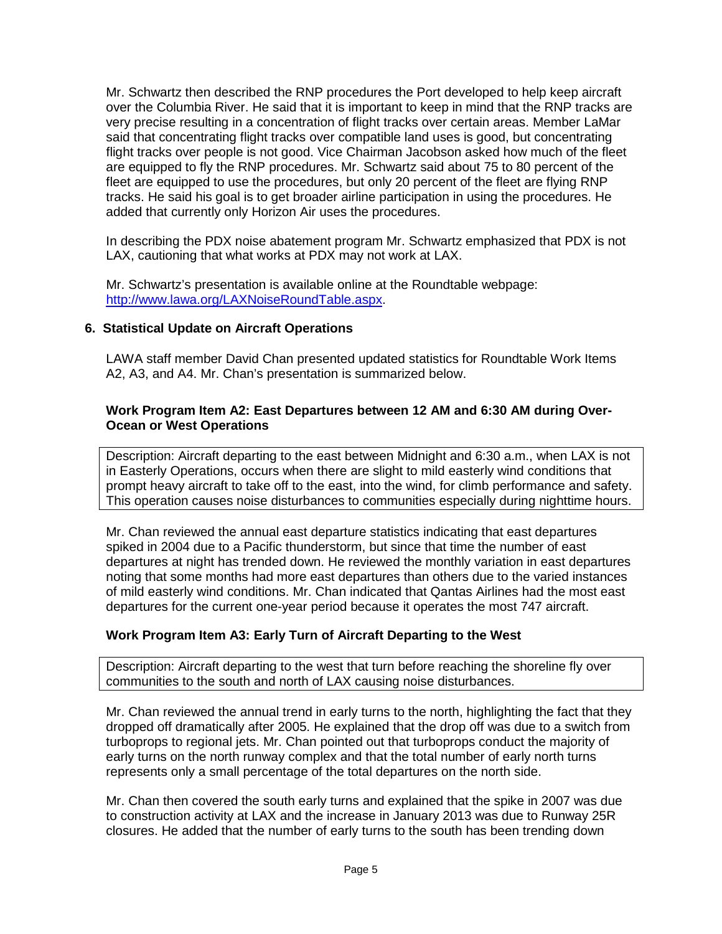Mr. Schwartz then described the RNP procedures the Port developed to help keep aircraft over the Columbia River. He said that it is important to keep in mind that the RNP tracks are very precise resulting in a concentration of flight tracks over certain areas. Member LaMar said that concentrating flight tracks over compatible land uses is good, but concentrating flight tracks over people is not good. Vice Chairman Jacobson asked how much of the fleet are equipped to fly the RNP procedures. Mr. Schwartz said about 75 to 80 percent of the fleet are equipped to use the procedures, but only 20 percent of the fleet are flying RNP tracks. He said his goal is to get broader airline participation in using the procedures. He added that currently only Horizon Air uses the procedures.

In describing the PDX noise abatement program Mr. Schwartz emphasized that PDX is not LAX, cautioning that what works at PDX may not work at LAX.

Mr. Schwartz's presentation is available online at the Roundtable webpage: [http://www.lawa.org/LAXNoiseRoundTable.aspx.](http://www.lawa.org/LAXNoiseRoundTable.aspx)

#### **6. Statistical Update on Aircraft Operations**

LAWA staff member David Chan presented updated statistics for Roundtable Work Items A2, A3, and A4. Mr. Chan's presentation is summarized below.

#### **Work Program Item A2: East Departures between 12 AM and 6:30 AM during Over-Ocean or West Operations**

Description: Aircraft departing to the east between Midnight and 6:30 a.m., when LAX is not in Easterly Operations, occurs when there are slight to mild easterly wind conditions that prompt heavy aircraft to take off to the east, into the wind, for climb performance and safety. This operation causes noise disturbances to communities especially during nighttime hours.

Mr. Chan reviewed the annual east departure statistics indicating that east departures spiked in 2004 due to a Pacific thunderstorm, but since that time the number of east departures at night has trended down. He reviewed the monthly variation in east departures noting that some months had more east departures than others due to the varied instances of mild easterly wind conditions. Mr. Chan indicated that Qantas Airlines had the most east departures for the current one-year period because it operates the most 747 aircraft.

#### **Work Program Item A3: Early Turn of Aircraft Departing to the West**

Description: Aircraft departing to the west that turn before reaching the shoreline fly over communities to the south and north of LAX causing noise disturbances.

Mr. Chan reviewed the annual trend in early turns to the north, highlighting the fact that they dropped off dramatically after 2005. He explained that the drop off was due to a switch from turboprops to regional jets. Mr. Chan pointed out that turboprops conduct the majority of early turns on the north runway complex and that the total number of early north turns represents only a small percentage of the total departures on the north side.

Mr. Chan then covered the south early turns and explained that the spike in 2007 was due to construction activity at LAX and the increase in January 2013 was due to Runway 25R closures. He added that the number of early turns to the south has been trending down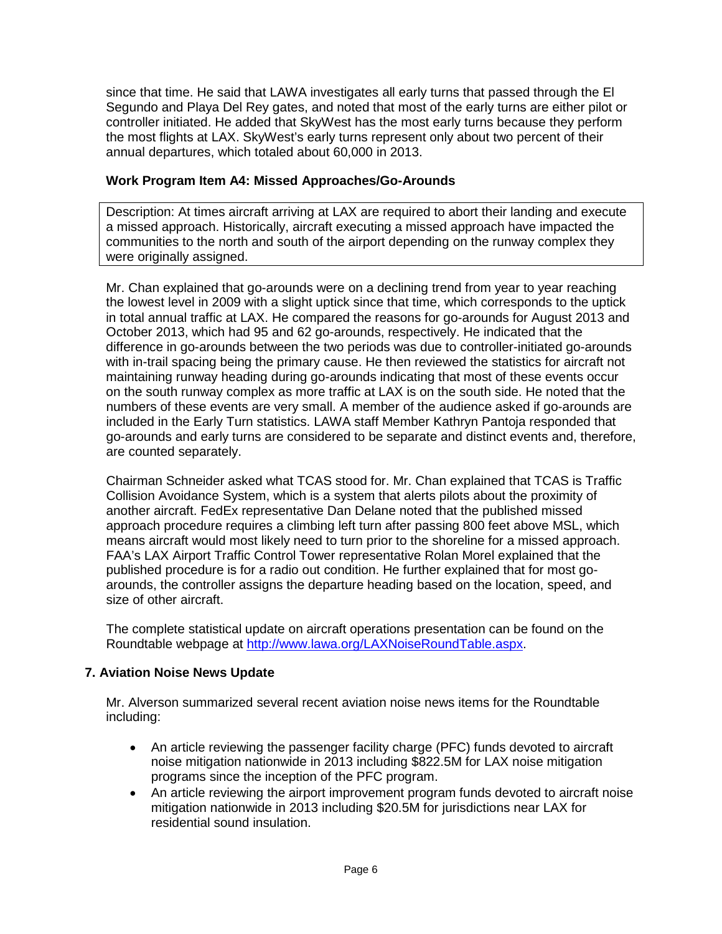since that time. He said that LAWA investigates all early turns that passed through the El Segundo and Playa Del Rey gates, and noted that most of the early turns are either pilot or controller initiated. He added that SkyWest has the most early turns because they perform the most flights at LAX. SkyWest's early turns represent only about two percent of their annual departures, which totaled about 60,000 in 2013.

### **Work Program Item A4: Missed Approaches/Go-Arounds**

Description: At times aircraft arriving at LAX are required to abort their landing and execute a missed approach. Historically, aircraft executing a missed approach have impacted the communities to the north and south of the airport depending on the runway complex they were originally assigned.

Mr. Chan explained that go-arounds were on a declining trend from year to year reaching the lowest level in 2009 with a slight uptick since that time, which corresponds to the uptick in total annual traffic at LAX. He compared the reasons for go-arounds for August 2013 and October 2013, which had 95 and 62 go-arounds, respectively. He indicated that the difference in go-arounds between the two periods was due to controller-initiated go-arounds with in-trail spacing being the primary cause. He then reviewed the statistics for aircraft not maintaining runway heading during go-arounds indicating that most of these events occur on the south runway complex as more traffic at LAX is on the south side. He noted that the numbers of these events are very small. A member of the audience asked if go-arounds are included in the Early Turn statistics. LAWA staff Member Kathryn Pantoja responded that go-arounds and early turns are considered to be separate and distinct events and, therefore, are counted separately.

Chairman Schneider asked what TCAS stood for. Mr. Chan explained that TCAS is Traffic Collision Avoidance System, which is a system that alerts pilots about the proximity of another aircraft. FedEx representative Dan Delane noted that the published missed approach procedure requires a climbing left turn after passing 800 feet above MSL, which means aircraft would most likely need to turn prior to the shoreline for a missed approach. FAA's LAX Airport Traffic Control Tower representative Rolan Morel explained that the published procedure is for a radio out condition. He further explained that for most goarounds, the controller assigns the departure heading based on the location, speed, and size of other aircraft.

The complete statistical update on aircraft operations presentation can be found on the Roundtable webpage at [http://www.lawa.org/LAXNoiseRoundTable.aspx.](http://www.lawa.org/LAXNoiseRoundTable.aspx)

## **7. Aviation Noise News Update**

Mr. Alverson summarized several recent aviation noise news items for the Roundtable including:

- An article reviewing the passenger facility charge (PFC) funds devoted to aircraft noise mitigation nationwide in 2013 including \$822.5M for LAX noise mitigation programs since the inception of the PFC program.
- An article reviewing the airport improvement program funds devoted to aircraft noise mitigation nationwide in 2013 including \$20.5M for jurisdictions near LAX for residential sound insulation.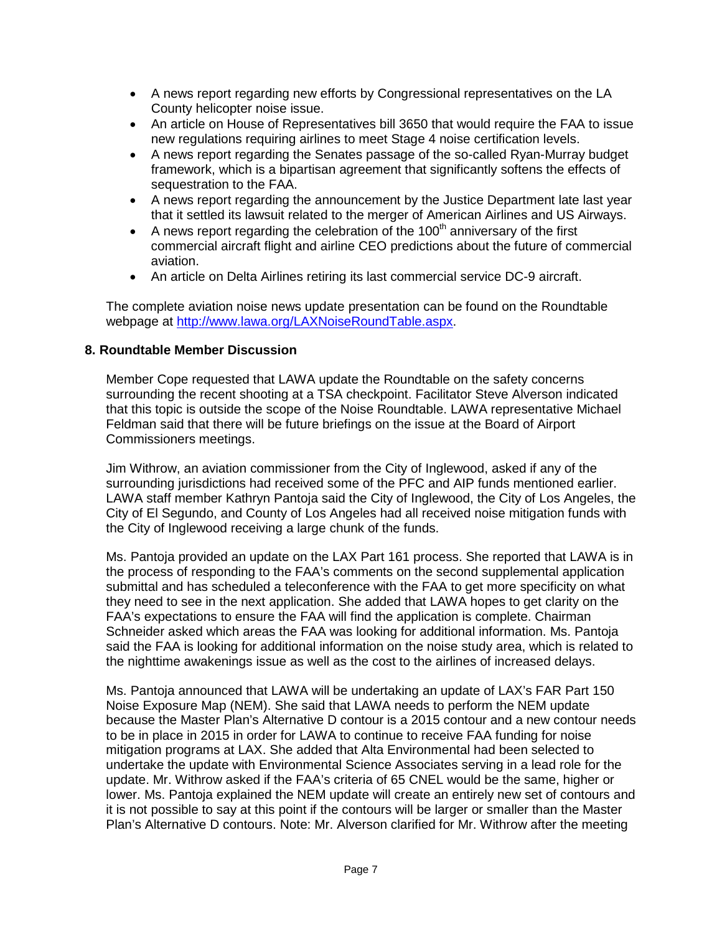- A news report regarding new efforts by Congressional representatives on the LA County helicopter noise issue.
- An article on House of Representatives bill 3650 that would require the FAA to issue new regulations requiring airlines to meet Stage 4 noise certification levels.
- A news report regarding the Senates passage of the so-called Ryan-Murray budget framework, which is a bipartisan agreement that significantly softens the effects of sequestration to the FAA.
- A news report regarding the announcement by the Justice Department late last year that it settled its lawsuit related to the merger of American Airlines and US Airways.
- A news report regarding the celebration of the  $100<sup>th</sup>$  anniversary of the first commercial aircraft flight and airline CEO predictions about the future of commercial aviation.
- An article on Delta Airlines retiring its last commercial service DC-9 aircraft.

The complete aviation noise news update presentation can be found on the Roundtable webpage at [http://www.lawa.org/LAXNoiseRoundTable.aspx.](http://www.lawa.org/LAXNoiseRoundTable.aspx)

#### **8. Roundtable Member Discussion**

Member Cope requested that LAWA update the Roundtable on the safety concerns surrounding the recent shooting at a TSA checkpoint. Facilitator Steve Alverson indicated that this topic is outside the scope of the Noise Roundtable. LAWA representative Michael Feldman said that there will be future briefings on the issue at the Board of Airport Commissioners meetings.

Jim Withrow, an aviation commissioner from the City of Inglewood, asked if any of the surrounding jurisdictions had received some of the PFC and AIP funds mentioned earlier. LAWA staff member Kathryn Pantoja said the City of Inglewood, the City of Los Angeles, the City of El Segundo, and County of Los Angeles had all received noise mitigation funds with the City of Inglewood receiving a large chunk of the funds.

Ms. Pantoja provided an update on the LAX Part 161 process. She reported that LAWA is in the process of responding to the FAA's comments on the second supplemental application submittal and has scheduled a teleconference with the FAA to get more specificity on what they need to see in the next application. She added that LAWA hopes to get clarity on the FAA's expectations to ensure the FAA will find the application is complete. Chairman Schneider asked which areas the FAA was looking for additional information. Ms. Pantoja said the FAA is looking for additional information on the noise study area, which is related to the nighttime awakenings issue as well as the cost to the airlines of increased delays.

Ms. Pantoja announced that LAWA will be undertaking an update of LAX's FAR Part 150 Noise Exposure Map (NEM). She said that LAWA needs to perform the NEM update because the Master Plan's Alternative D contour is a 2015 contour and a new contour needs to be in place in 2015 in order for LAWA to continue to receive FAA funding for noise mitigation programs at LAX. She added that Alta Environmental had been selected to undertake the update with Environmental Science Associates serving in a lead role for the update. Mr. Withrow asked if the FAA's criteria of 65 CNEL would be the same, higher or lower. Ms. Pantoja explained the NEM update will create an entirely new set of contours and it is not possible to say at this point if the contours will be larger or smaller than the Master Plan's Alternative D contours. Note: Mr. Alverson clarified for Mr. Withrow after the meeting